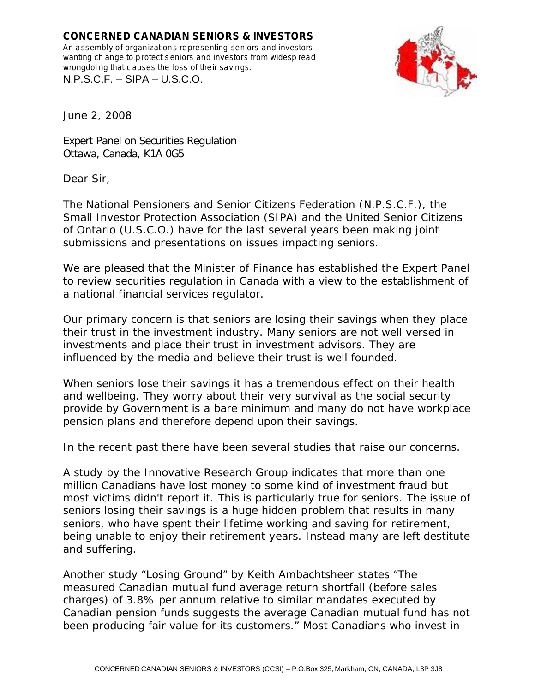**CONCERNED CANADIAN SENIORS & INVESTORS** *An assembly of organizations representing seniors and investors wanting ch ange to p rotect seniors and investors from widesp read wrongdoi ng that c auses the loss of their savings.* N.P.S.C.F. – SIPA – U.S.C.O.



June 2, 2008

Expert Panel on Securities Regulation Ottawa, Canada, K1A 0G5

Dear Sir,

The National Pensioners and Senior Citizens Federation (N.P.S.C.F.), the Small Investor Protection Association (SIPA) and the United Senior Citizens of Ontario (U.S.C.O.) have for the last several years been making joint submissions and presentations on issues impacting seniors.

We are pleased that the Minister of Finance has established the Expert Panel to review securities regulation in Canada with a view to the establishment of a national financial services regulator.

Our primary concern is that seniors are losing their savings when they place their trust in the investment industry. Many seniors are not well versed in investments and place their trust in investment advisors. They are influenced by the media and believe their trust is well founded.

When seniors lose their savings it has a tremendous effect on their health and wellbeing. They worry about their very survival as the social security provide by Government is a bare minimum and many do not have workplace pension plans and therefore depend upon their savings.

In the recent past there have been several studies that raise our concerns.

A study by the Innovative Research Group indicates that more than one million Canadians have lost money to some kind of investment fraud but most victims didn't report it. This is particularly true for seniors. The issue of seniors losing their savings is a huge hidden problem that results in many seniors, who have spent their lifetime working and saving for retirement, being unable to enjoy their retirement years. Instead many are left destitute and suffering.

Another study "Losing Ground" by Keith Ambachtsheer states "The been producing fair value for its customers." Most Canadians who invest in *measured Canadian mutual fund average return shortfall (before sales charges) of 3.8% per annum relative to similar mandates executed by Canadian pension funds suggests the average Canadian mutual fund has not*